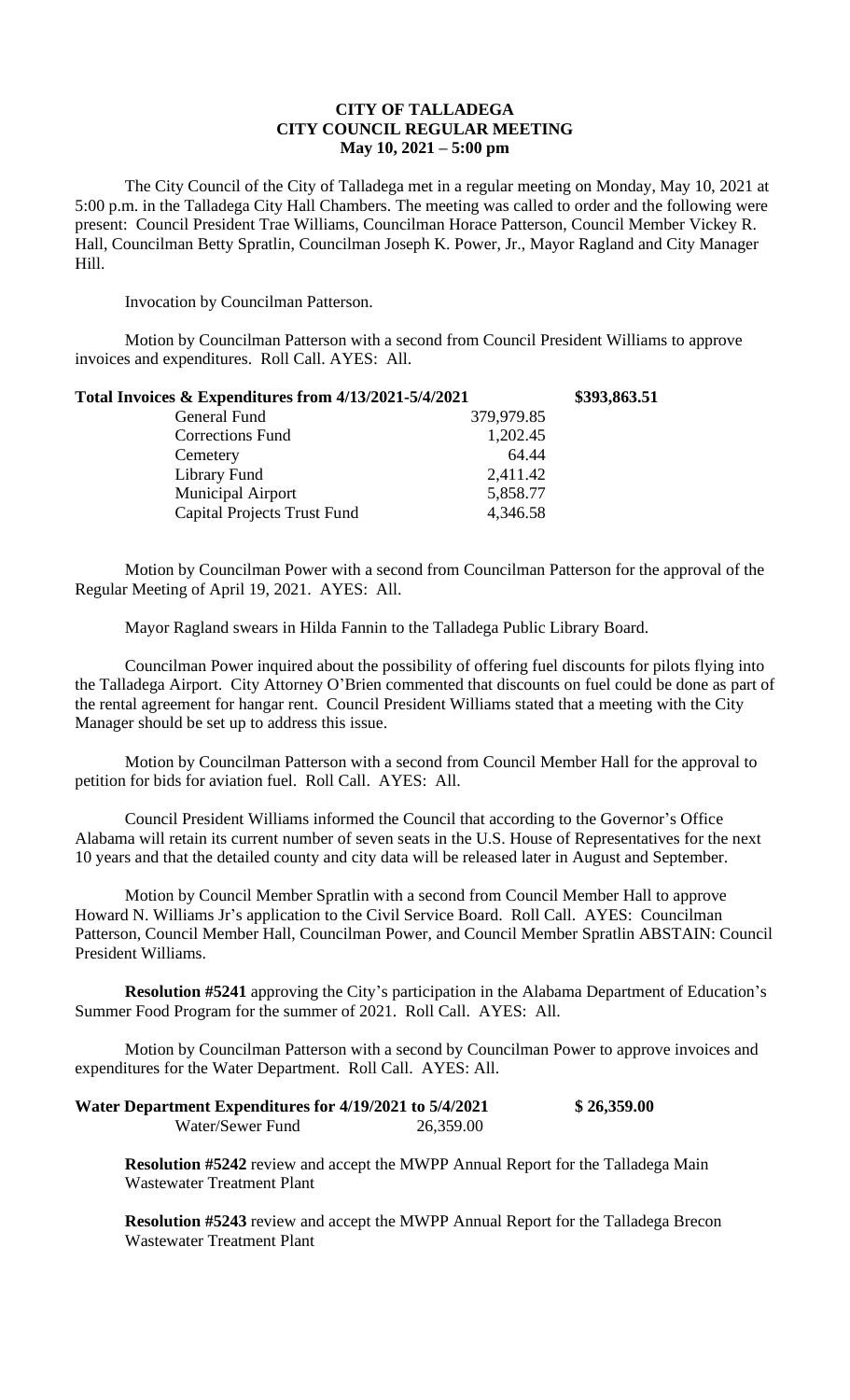## **CITY OF TALLADEGA CITY COUNCIL REGULAR MEETING May 10, 2021 – 5:00 pm**

The City Council of the City of Talladega met in a regular meeting on Monday, May 10, 2021 at 5:00 p.m. in the Talladega City Hall Chambers. The meeting was called to order and the following were present: Council President Trae Williams, Councilman Horace Patterson, Council Member Vickey R. Hall, Councilman Betty Spratlin, Councilman Joseph K. Power, Jr., Mayor Ragland and City Manager Hill.

Invocation by Councilman Patterson.

Motion by Councilman Patterson with a second from Council President Williams to approve invoices and expenditures. Roll Call. AYES: All.

| Total Invoices & Expenditures from 4/13/2021-5/4/2021 |            | \$393,863.51 |
|-------------------------------------------------------|------------|--------------|
| General Fund                                          | 379,979.85 |              |
| Corrections Fund                                      | 1,202.45   |              |
| Cemetery                                              | 64.44      |              |
| Library Fund                                          | 2,411.42   |              |
| Municipal Airport                                     | 5,858.77   |              |
| <b>Capital Projects Trust Fund</b>                    | 4,346.58   |              |

Motion by Councilman Power with a second from Councilman Patterson for the approval of the Regular Meeting of April 19, 2021. AYES: All.

Mayor Ragland swears in Hilda Fannin to the Talladega Public Library Board.

Councilman Power inquired about the possibility of offering fuel discounts for pilots flying into the Talladega Airport. City Attorney O'Brien commented that discounts on fuel could be done as part of the rental agreement for hangar rent. Council President Williams stated that a meeting with the City Manager should be set up to address this issue.

Motion by Councilman Patterson with a second from Council Member Hall for the approval to petition for bids for aviation fuel. Roll Call. AYES: All.

Council President Williams informed the Council that according to the Governor's Office Alabama will retain its current number of seven seats in the U.S. House of Representatives for the next 10 years and that the detailed county and city data will be released later in August and September.

Motion by Council Member Spratlin with a second from Council Member Hall to approve Howard N. Williams Jr's application to the Civil Service Board. Roll Call. AYES: Councilman Patterson, Council Member Hall, Councilman Power, and Council Member Spratlin ABSTAIN: Council President Williams.

**Resolution #5241** approving the City's participation in the Alabama Department of Education's Summer Food Program for the summer of 2021. Roll Call. AYES: All.

Motion by Councilman Patterson with a second by Councilman Power to approve invoices and expenditures for the Water Department. Roll Call. AYES: All.

| Water Department Expenditures for 4/19/2021 to 5/4/2021 |           | \$26,359.00 |
|---------------------------------------------------------|-----------|-------------|
| Water/Sewer Fund                                        | 26,359.00 |             |

**Resolution #5242** review and accept the MWPP Annual Report for the Talladega Main Wastewater Treatment Plant

**Resolution #5243** review and accept the MWPP Annual Report for the Talladega Brecon Wastewater Treatment Plant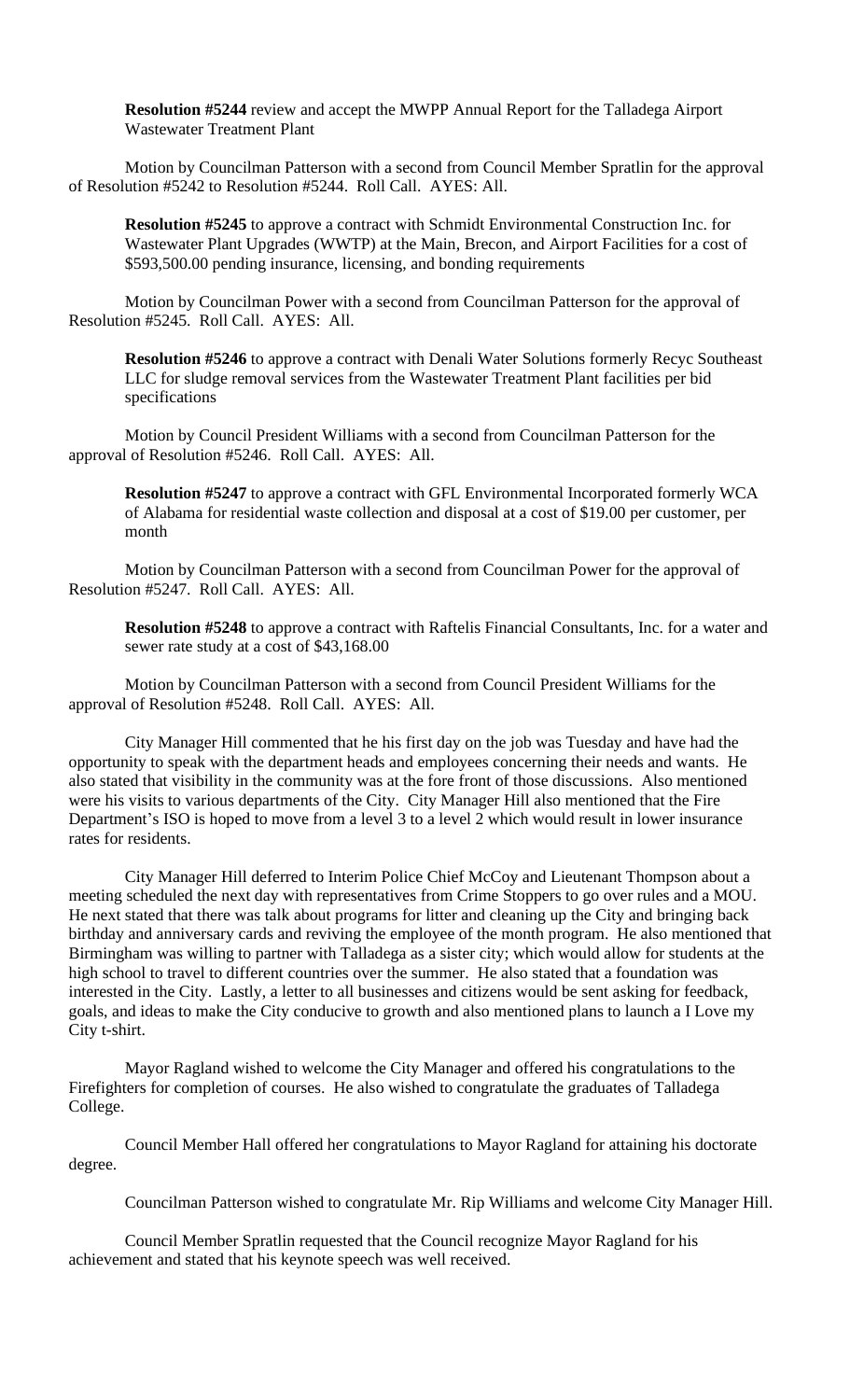**Resolution #5244** review and accept the MWPP Annual Report for the Talladega Airport Wastewater Treatment Plant

Motion by Councilman Patterson with a second from Council Member Spratlin for the approval of Resolution #5242 to Resolution #5244. Roll Call. AYES: All.

**Resolution #5245** to approve a contract with Schmidt Environmental Construction Inc. for Wastewater Plant Upgrades (WWTP) at the Main, Brecon, and Airport Facilities for a cost of \$593,500.00 pending insurance, licensing, and bonding requirements

Motion by Councilman Power with a second from Councilman Patterson for the approval of Resolution #5245. Roll Call. AYES: All.

**Resolution #5246** to approve a contract with Denali Water Solutions formerly Recyc Southeast LLC for sludge removal services from the Wastewater Treatment Plant facilities per bid specifications

Motion by Council President Williams with a second from Councilman Patterson for the approval of Resolution #5246. Roll Call. AYES: All.

**Resolution #5247** to approve a contract with GFL Environmental Incorporated formerly WCA of Alabama for residential waste collection and disposal at a cost of \$19.00 per customer, per month

Motion by Councilman Patterson with a second from Councilman Power for the approval of Resolution #5247. Roll Call. AYES: All.

**Resolution #5248** to approve a contract with Raftelis Financial Consultants, Inc. for a water and sewer rate study at a cost of \$43,168.00

Motion by Councilman Patterson with a second from Council President Williams for the approval of Resolution #5248. Roll Call. AYES: All.

City Manager Hill commented that he his first day on the job was Tuesday and have had the opportunity to speak with the department heads and employees concerning their needs and wants. He also stated that visibility in the community was at the fore front of those discussions. Also mentioned were his visits to various departments of the City. City Manager Hill also mentioned that the Fire Department's ISO is hoped to move from a level 3 to a level 2 which would result in lower insurance rates for residents.

City Manager Hill deferred to Interim Police Chief McCoy and Lieutenant Thompson about a meeting scheduled the next day with representatives from Crime Stoppers to go over rules and a MOU. He next stated that there was talk about programs for litter and cleaning up the City and bringing back birthday and anniversary cards and reviving the employee of the month program. He also mentioned that Birmingham was willing to partner with Talladega as a sister city; which would allow for students at the high school to travel to different countries over the summer. He also stated that a foundation was interested in the City. Lastly, a letter to all businesses and citizens would be sent asking for feedback, goals, and ideas to make the City conducive to growth and also mentioned plans to launch a I Love my City t-shirt.

Mayor Ragland wished to welcome the City Manager and offered his congratulations to the Firefighters for completion of courses. He also wished to congratulate the graduates of Talladega College.

Council Member Hall offered her congratulations to Mayor Ragland for attaining his doctorate degree.

Councilman Patterson wished to congratulate Mr. Rip Williams and welcome City Manager Hill.

Council Member Spratlin requested that the Council recognize Mayor Ragland for his achievement and stated that his keynote speech was well received.